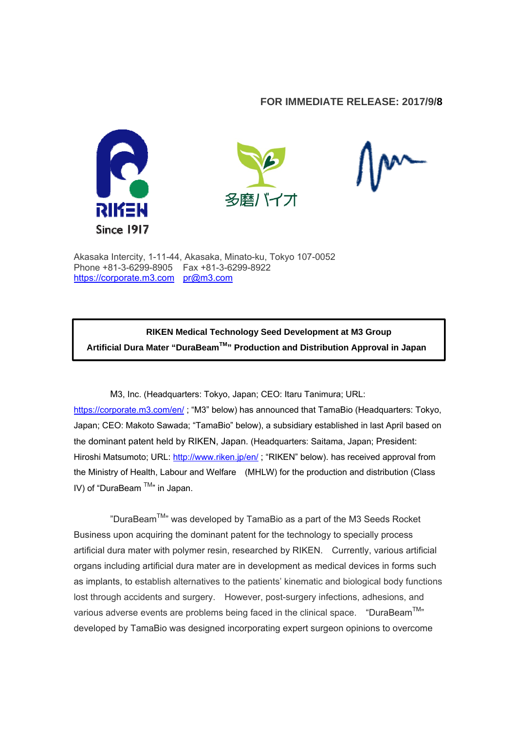## **FOR IMMEDIATE RELEASE: 2017/9/8**





Akasaka Intercity, 1-11-44, Akasaka, Minato-ku, Tokyo 107-0052 Phone +81-3-6299-8905 Fax +81-3-6299-8922 https://corporate.m3.com pr@m3.com

**RIKEN Medical Technology Seed Development at M3 Group Artificial Dura Mater "DuraBeamTM" Production and Distribution Approval in Japan**

M3, Inc. (Headquarters: Tokyo, Japan; CEO: Itaru Tanimura; URL: https://corporate.m3.com/en/ ; "M3" below) has announced that TamaBio (Headquarters: Tokyo, Japan; CEO: Makoto Sawada; "TamaBio" below), a subsidiary established in last April based on the dominant patent held by RIKEN, Japan. (Headquarters: Saitama, Japan; President: Hiroshi Matsumoto; URL: http://www.riken.jp/en/; "RIKEN" below). has received approval from the Ministry of Health, Labour and Welfare (MHLW) for the production and distribution (Class IV) of "DuraBeam  $TM$ " in Japan.

"DuraBeam<sup>TM</sup>" was developed by TamaBio as a part of the M3 Seeds Rocket Business upon acquiring the dominant patent for the technology to specially process artificial dura mater with polymer resin, researched by RIKEN. Currently, various artificial organs including artificial dura mater are in development as medical devices in forms such as implants, to establish alternatives to the patients' kinematic and biological body functions lost through accidents and surgery. However, post-surgery infections, adhesions, and various adverse events are problems being faced in the clinical space. "DuraBeam $^{TM}$ " developed by TamaBio was designed incorporating expert surgeon opinions to overcome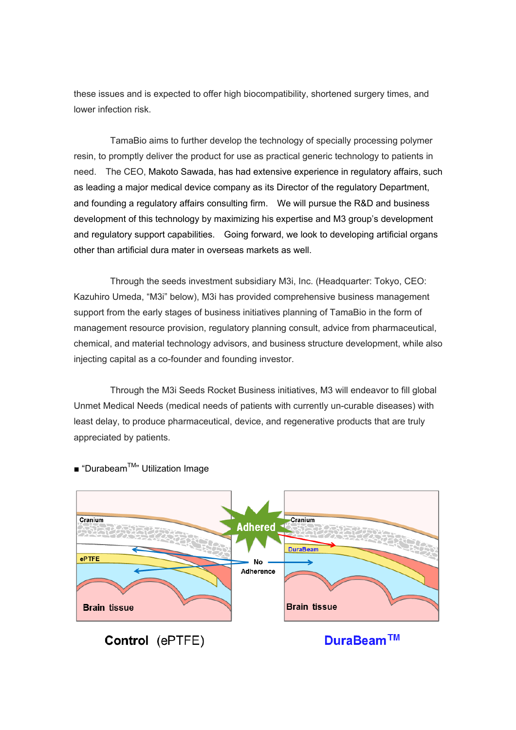these issues and is expected to offer high biocompatibility, shortened surgery times, and lower infection risk.

TamaBio aims to further develop the technology of specially processing polymer resin, to promptly deliver the product for use as practical generic technology to patients in need. The CEO, Makoto Sawada, has had extensive experience in regulatory affairs, such as leading a major medical device company as its Director of the regulatory Department, and founding a regulatory affairs consulting firm. We will pursue the R&D and business development of this technology by maximizing his expertise and M3 group's development and regulatory support capabilities. Going forward, we look to developing artificial organs other than artificial dura mater in overseas markets as well.

Through the seeds investment subsidiary M3i, Inc. (Headquarter: Tokyo, CEO: Kazuhiro Umeda, "M3i" below), M3i has provided comprehensive business management support from the early stages of business initiatives planning of TamaBio in the form of management resource provision, regulatory planning consult, advice from pharmaceutical, chemical, and material technology advisors, and business structure development, while also injecting capital as a co-founder and founding investor.

Through the M3i Seeds Rocket Business initiatives, M3 will endeavor to fill global Unmet Medical Needs (medical needs of patients with currently un-curable diseases) with least delay, to produce pharmaceutical, device, and regenerative products that are truly appreciated by patients.



■ "Durabeam<sup>™</sup>" Utilization Image